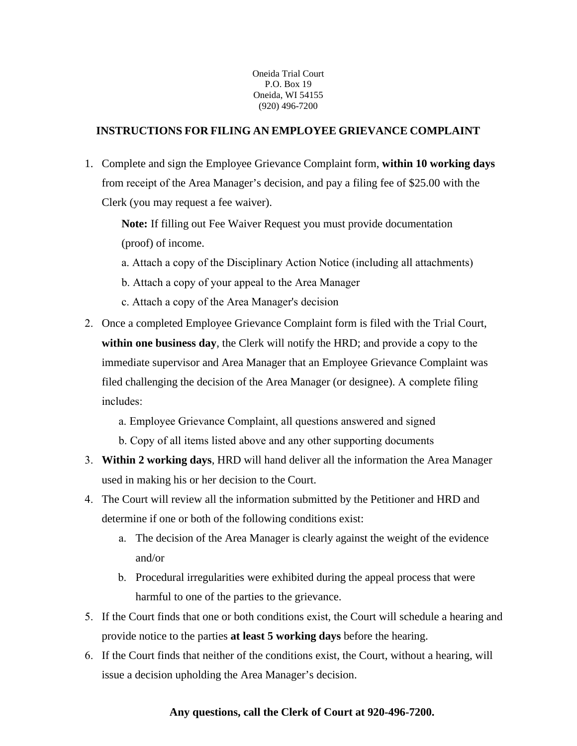Oneida Trial Court P.O. Box 19 Oneida, WI 54155 (920) 496-7200

### **INSTRUCTIONS FOR FILING AN EMPLOYEE GRIEVANCE COMPLAINT**

1. Complete and sign the Employee Grievance Complaint form, **within 10 working days** from receipt of the Area Manager's decision, and pay a filing fee of \$25.00 with the Clerk (you may request a fee waiver).

**Note:** If filling out Fee Waiver Request you must provide documentation (proof) of income.

- a. Attach a copy of the Disciplinary Action Notice (including all attachments)
- b. Attach a copy of your appeal to the Area Manager
- c. Attach a copy of the Area Manager's decision
- 2. Once a completed Employee Grievance Complaint form is filed with the Trial Court, **within one business day**, the Clerk will notify the HRD; and provide a copy to the immediate supervisor and Area Manager that an Employee Grievance Complaint was filed challenging the decision of the Area Manager (or designee). A complete filing includes:

a. Employee Grievance Complaint, all questions answered and signed

- b. Copy of all items listed above and any other supporting documents
- 3. **Within 2 working days**, HRD will hand deliver all the information the Area Manager used in making his or her decision to the Court.
- 4. The Court will review all the information submitted by the Petitioner and HRD and determine if one or both of the following conditions exist:
	- a. The decision of the Area Manager is clearly against the weight of the evidence and/or
	- b. Procedural irregularities were exhibited during the appeal process that were harmful to one of the parties to the grievance.
- 5. If the Court finds that one or both conditions exist, the Court will schedule a hearing and provide notice to the parties **at least 5 working days** before the hearing.
- 6. If the Court finds that neither of the conditions exist, the Court, without a hearing, will issue a decision upholding the Area Manager's decision.

## **Any questions, call the Clerk of Court at 920-496-7200.**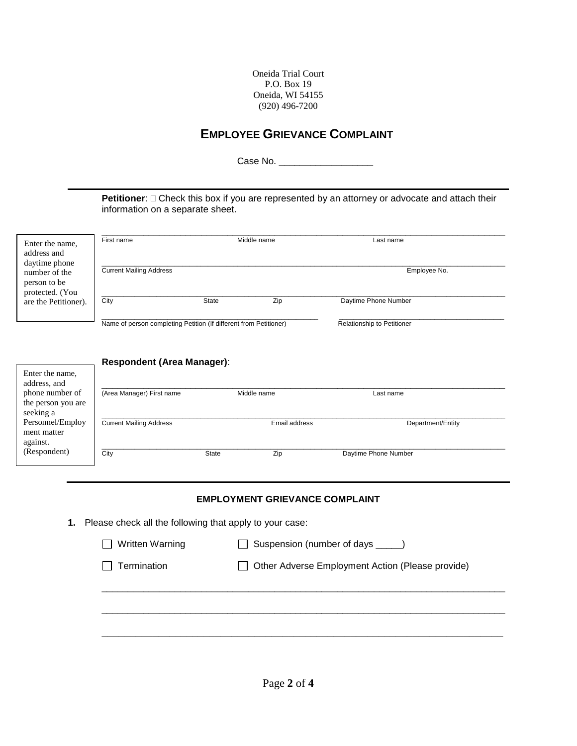Oneida Trial Court P.O. Box 19 Oneida, WI 54155 (920) 496-7200

# **EMPLOYEE GRIEVANCE COMPLAINT**

Case No. \_\_\_\_\_\_\_\_\_\_\_\_\_\_\_\_\_\_

**Petitioner**:  $\Box$  Check this box if you are represented by an attorney or advocate and attach their information on a separate sheet.

| Enter the name,<br>address and<br>daytime phone<br>number of the<br>person to be<br>protected. (You<br>are the Petitioner). | Middle name<br>First name                                         |       |     | Last name                  |
|-----------------------------------------------------------------------------------------------------------------------------|-------------------------------------------------------------------|-------|-----|----------------------------|
|                                                                                                                             | <b>Current Mailing Address</b>                                    |       |     | Employee No.               |
|                                                                                                                             | City                                                              | State | Zip | Daytime Phone Number       |
|                                                                                                                             | Name of person completing Petition (If different from Petitioner) |       |     | Relationship to Petitioner |

|                                             | <b>Respondent (Area Manager):</b> |              |               |                      |
|---------------------------------------------|-----------------------------------|--------------|---------------|----------------------|
| Enter the name,<br>address, and             |                                   |              |               |                      |
| phone number of                             | (Area Manager) First name         |              | Middle name   | Last name            |
| the person you are<br>seeking a             |                                   |              |               |                      |
| Personnel/Employ<br>ment matter<br>against. | <b>Current Mailing Address</b>    |              | Email address | Department/Entity    |
| (Respondent)                                | City                              | <b>State</b> | Zip           | Daytime Phone Number |

#### **EMPLOYMENT GRIEVANCE COMPLAINT**

**1.** Please check all the following that apply to your case:

| Written Warning<br>$\perp$ | $\Box$ Suspension (number of days $\_\_\_\_\_$ ) |
|----------------------------|--------------------------------------------------|
| $\Box$ Termination         | Other Adverse Employment Action (Please provide) |
|                            |                                                  |
|                            |                                                  |

\_\_\_\_\_\_\_\_\_\_\_\_\_\_\_\_\_\_\_\_\_\_\_\_\_\_\_\_\_\_\_\_\_\_\_\_\_\_\_\_\_\_\_\_\_\_\_\_\_\_\_\_\_\_\_\_\_\_\_\_\_\_\_\_\_\_\_\_\_\_\_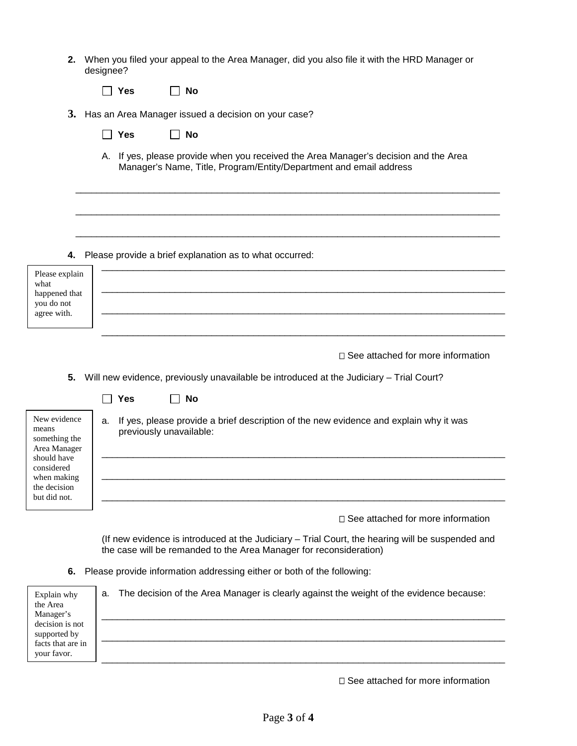| 2. When you filed your appeal to the Area Manager, did you also file it with the HRD Manager or |
|-------------------------------------------------------------------------------------------------|
| designee?                                                                                       |

| ∣ No<br>∣∣ Yes |
|----------------|
|----------------|

- **3.** Has an Area Manager issued a decision on your case?
	- **Yes No**
	- A. If yes, please provide when you received the Area Manager's decision and the Area Manager's Name, Title, Program/Entity/Department and email address

\_\_\_\_\_\_\_\_\_\_\_\_\_\_\_\_\_\_\_\_\_\_\_\_\_\_\_\_\_\_\_\_\_\_\_\_\_\_\_\_\_\_\_\_\_\_\_\_\_\_\_\_\_\_\_\_\_\_\_\_\_\_\_\_\_\_\_\_\_\_\_\_\_\_\_\_\_\_\_\_\_

\_\_\_\_\_\_\_\_\_\_\_\_\_\_\_\_\_\_\_\_\_\_\_\_\_\_\_\_\_\_\_\_\_\_\_\_\_\_\_\_\_\_\_\_\_\_\_\_\_\_\_\_\_\_\_\_\_\_\_\_\_\_\_\_\_\_\_\_\_\_\_\_\_\_\_\_\_\_\_\_\_

\_\_\_\_\_\_\_\_\_\_\_\_\_\_\_\_\_\_\_\_\_\_\_\_\_\_\_\_\_\_\_\_\_\_\_\_\_\_\_\_\_\_\_\_\_\_\_\_\_\_\_\_\_\_\_\_\_\_\_\_\_\_\_\_\_\_\_\_\_\_\_\_\_\_\_\_\_\_\_\_\_

**4.** Please provide a brief explanation as to what occurred:

| Please explain<br>what<br>happened that<br>you do not<br>agree with. |  |
|----------------------------------------------------------------------|--|
|                                                                      |  |

 $\Box$  See attached for more information

**5.** Will new evidence, previously unavailable be introduced at the Judiciary – Trial Court?

| New evidence  |
|---------------|
| means         |
| something the |
| Area Manager  |
| should have   |
| considered    |
| when making   |
| the decision  |
| but did not.  |
|               |

- **Yes No**
- a. If yes, please provide a brief description of the new evidence and explain why it was previously unavailable:

□ See attached for more information

(If new evidence is introduced at the Judiciary – Trial Court, the hearing will be suspended and the case will be remanded to the Area Manager for reconsideration)

\_\_\_\_\_\_\_\_\_\_\_\_\_\_\_\_\_\_\_\_\_\_\_\_\_\_\_\_\_\_\_\_\_\_\_\_\_\_\_\_\_\_\_\_\_\_\_\_\_\_\_\_\_\_\_\_\_\_\_\_\_\_\_\_\_\_\_\_\_\_\_\_\_\_\_\_\_

\_\_\_\_\_\_\_\_\_\_\_\_\_\_\_\_\_\_\_\_\_\_\_\_\_\_\_\_\_\_\_\_\_\_\_\_\_\_\_\_\_\_\_\_\_\_\_\_\_\_\_\_\_\_\_\_\_\_\_\_\_\_\_\_\_\_\_\_\_\_\_\_\_\_\_\_\_

\_\_\_\_\_\_\_\_\_\_\_\_\_\_\_\_\_\_\_\_\_\_\_\_\_\_\_\_\_\_\_\_\_\_\_\_\_\_\_\_\_\_\_\_\_\_\_\_\_\_\_\_\_\_\_\_\_\_\_\_\_\_\_\_\_\_\_\_\_\_\_\_\_\_\_\_\_

**6.** Please provide information addressing either or both of the following:

| Explain why<br>the Area | The decision of the Area Manager is clearly against the weight of the evidence because:<br>а. |
|-------------------------|-----------------------------------------------------------------------------------------------|
| Manager's               |                                                                                               |
| decision is not         |                                                                                               |
| supported by            |                                                                                               |
| facts that are in       |                                                                                               |
| your favor.             |                                                                                               |

 $\square$  See attached for more information